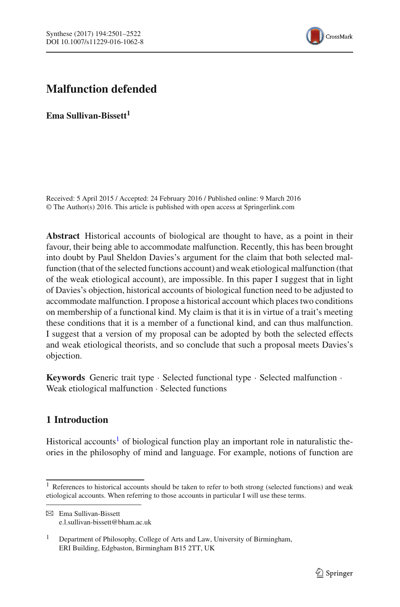

# **Malfunction defended**

**Ema Sullivan-Bissett<sup>1</sup>** 

Received: 5 April 2015 / Accepted: 24 February 2016 / Published online: 9 March 2016 © The Author(s) 2016. This article is published with open access at Springerlink.com

**Abstract** Historical accounts of biological are thought to have, as a point in their favour, their being able to accommodate malfunction. Recently, this has been brought into doubt by Paul Sheldon Davies's argument for the claim that both selected malfunction (that of the selected functions account) and weak etiological malfunction (that of the weak etiological account), are impossible. In this paper I suggest that in light of Davies's objection, historical accounts of biological function need to be adjusted to accommodate malfunction. I propose a historical account which places two conditions on membership of a functional kind. My claim is that it is in virtue of a trait's meeting these conditions that it is a member of a functional kind, and can thus malfunction. I suggest that a version of my proposal can be adopted by both the selected effects and weak etiological theorists, and so conclude that such a proposal meets Davies's objection.

**Keywords** Generic trait type · Selected functional type · Selected malfunction · Weak etiological malfunction · Selected functions

# **1 Introduction**

Historical accounts<sup>1</sup> of biological function play an important role in naturalistic theories in the philosophy of mind and language. For example, notions of function are

<sup>&</sup>lt;sup>1</sup> References to historical accounts should be taken to refer to both strong (selected functions) and weak etiological accounts. When referring to those accounts in particular I will use these terms.

B Ema Sullivan-Bissett e.l.sullivan-bissett@bham.ac.uk

<sup>&</sup>lt;sup>1</sup> Department of Philosophy, College of Arts and Law, University of Birmingham, ERI Building, Edgbaston, Birmingham B15 2TT, UK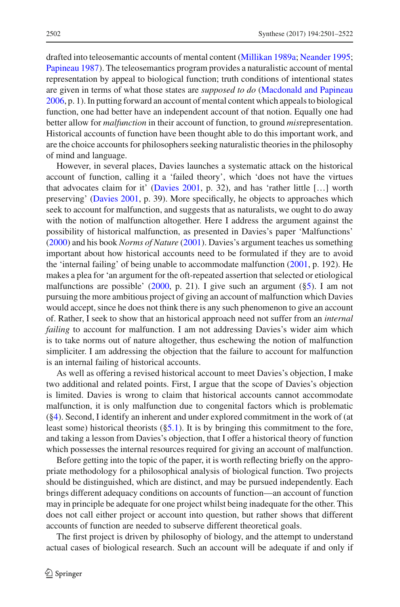drafted into teleosemantic accounts of mental content [\(Millikan 1989a](#page-20-0); [Neander 1995](#page-20-1); [Papineau 1987\)](#page-20-2). The teleosemantics program provides a naturalistic account of mental representation by appeal to biological function; truth conditions of intentional states are given in terms of what those states are *supposed to do* [\(Macdonald and Papineau](#page-20-3) [2006,](#page-20-3) p. 1). In putting forward an account of mental content which appeals to biological function, one had better have an independent account of that notion. Equally one had better allow for *malfunction* in their account of function, to ground *mis*representation. Historical accounts of function have been thought able to do this important work, and are the choice accounts for philosophers seeking naturalistic theories in the philosophy of mind and language.

However, in several places, Davies launches a systematic attack on the historical account of function, calling it a 'failed theory', which 'does not have the virtues that advocates claim for it' [\(Davies 2001](#page-20-4), p. 32), and has 'rather little […] worth preserving' [\(Davies 2001,](#page-20-4) p. 39). More specifically, he objects to approaches which seek to account for malfunction, and suggests that as naturalists, we ought to do away with the notion of malfunction altogether. Here I address the argument against the possibility of historical malfunction, as presented in Davies's paper 'Malfunctions' [\(2000\)](#page-19-0) and his book *Norms of Nature* [\(2001](#page-20-4)). Davies's argument teaches us something important about how historical accounts need to be formulated if they are to avoid the 'internal failing' of being unable to accommodate malfunction [\(2001,](#page-20-4) p. 192). He makes a plea for 'an argument for the oft-repeated assertion that selected or etiological malfunctions are possible' [\(2000](#page-19-0), p. 21). I give such an argument ( $\S$ 5). I am not pursuing the more ambitious project of giving an account of malfunction which Davies would accept, since he does not think there is any such phenomenon to give an account of. Rather, I seek to show that an historical approach need not suffer from an *internal failing* to account for malfunction. I am not addressing Davies's wider aim which is to take norms out of nature altogether, thus eschewing the notion of malfunction simpliciter. I am addressing the objection that the failure to account for malfunction is an internal failing of historical accounts.

As well as offering a revised historical account to meet Davies's objection, I make two additional and related points. First, I argue that the scope of Davies's objection is limited. Davies is wrong to claim that historical accounts cannot accommodate malfunction, it is only malfunction due to congenital factors which is problematic ([§4\)](#page-6-0). Second, I identify an inherent and under explored commitment in the work of (at least some) historical theorists ([§5.1\)](#page-9-0). It is by bringing this commitment to the fore, and taking a lesson from Davies's objection, that I offer a historical theory of function which possesses the internal resources required for giving an account of malfunction.

Before getting into the topic of the paper, it is worth reflecting briefly on the appropriate methodology for a philosophical analysis of biological function. Two projects should be distinguished, which are distinct, and may be pursued independently. Each brings different adequacy conditions on accounts of function—an account of function may in principle be adequate for one project whilst being inadequate for the other. This does not call either project or account into question, but rather shows that different accounts of function are needed to subserve different theoretical goals.

The first project is driven by philosophy of biology, and the attempt to understand actual cases of biological research. Such an account will be adequate if and only if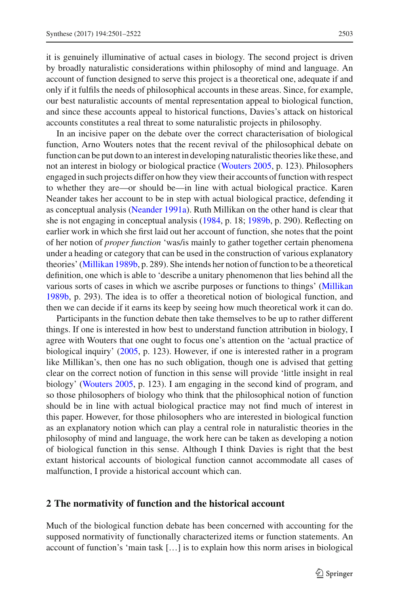it is genuinely illuminative of actual cases in biology. The second project is driven by broadly naturalistic considerations within philosophy of mind and language. An account of function designed to serve this project is a theoretical one, adequate if and only if it fulfils the needs of philosophical accounts in these areas. Since, for example, our best naturalistic accounts of mental representation appeal to biological function, and since these accounts appeal to historical functions, Davies's attack on historical accounts constitutes a real threat to some naturalistic projects in philosophy.

In an incisive paper on the debate over the correct characterisation of biological function, Arno Wouters notes that the recent revival of the philosophical debate on function can be put down to an interest in developing naturalistic theories like these, and not an interest in biology or biological practice [\(Wouters 2005](#page-21-0), p. 123). Philosophers engaged in such projects differ on how they view their accounts of function with respect to whether they are—or should be—in line with actual biological practice. Karen Neander takes her account to be in step with actual biological practice, defending it as conceptual analysis [\(Neander 1991a\)](#page-20-5). Ruth Millikan on the other hand is clear that she is not engaging in conceptual analysis [\(1984](#page-20-6), p. 18; [1989b](#page-20-7), p. 290). Reflecting on earlier work in which she first laid out her account of function, she notes that the point of her notion of *proper function* 'was/is mainly to gather together certain phenomena under a heading or category that can be used in the construction of various explanatory theories' [\(Millikan 1989b](#page-20-7), p. 289). She intends her notion of function to be a theoretical definition, one which is able to 'describe a unitary phenomenon that lies behind all the various sorts of cases in which we ascribe purposes or functions to things' [\(Millikan](#page-20-7) [1989b,](#page-20-7) p. 293). The idea is to offer a theoretical notion of biological function, and then we can decide if it earns its keep by seeing how much theoretical work it can do.

Participants in the function debate then take themselves to be up to rather different things. If one is interested in how best to understand function attribution in biology, I agree with Wouters that one ought to focus one's attention on the 'actual practice of biological inquiry' [\(2005,](#page-21-0) p. 123). However, if one is interested rather in a program like Millikan's, then one has no such obligation, though one is advised that getting clear on the correct notion of function in this sense will provide 'little insight in real biology' [\(Wouters 2005](#page-21-0), p. 123). I am engaging in the second kind of program, and so those philosophers of biology who think that the philosophical notion of function should be in line with actual biological practice may not find much of interest in this paper. However, for those philosophers who are interested in biological function as an explanatory notion which can play a central role in naturalistic theories in the philosophy of mind and language, the work here can be taken as developing a notion of biological function in this sense. Although I think Davies is right that the best extant historical accounts of biological function cannot accommodate all cases of malfunction, I provide a historical account which can.

#### **2 The normativity of function and the historical account**

Much of the biological function debate has been concerned with accounting for the supposed normativity of functionally characterized items or function statements. An account of function's 'main task […] is to explain how this norm arises in biological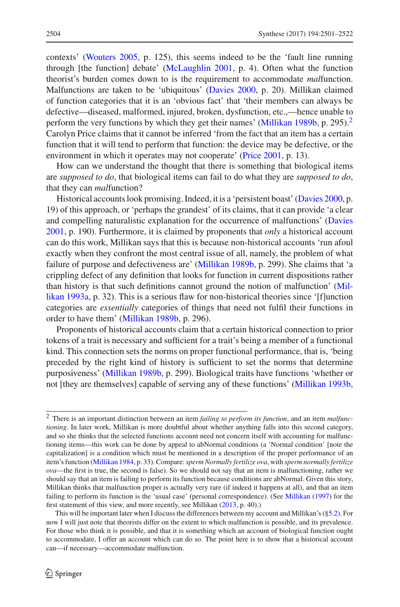contexts' [\(Wouters 2005](#page-21-0), p. 125), this seems indeed to be the 'fault line running through [the function] debate' [\(McLaughlin 2001,](#page-20-8) p. 4). Often what the function theorist's burden comes down to is the requirement to accommodate *mal*function. Malfunctions are taken to be 'ubiquitous' [\(Davies 2000](#page-19-0), p. 20). Millikan claimed of function categories that it is an 'obvious fact' that 'their members can always be defective—diseased, malformed, injured, broken, dysfunction, etc.,—hence unable to perform the very functions by which they get their names' [\(Millikan 1989b](#page-20-7), p. [2](#page-3-0)95).<sup>2</sup> Carolyn Price claims that it cannot be inferred 'from the fact that an item has a certain function that it will tend to perform that function: the device may be defective, or the environment in which it operates may not cooperate' [\(Price 2001,](#page-20-9) p. 13).

How can we understand the thought that there is something that biological items are *supposed to do*, that biological items can fail to do what they are *supposed to do*, that they can *mal*function?

Historical accounts look promising. Indeed, it is a 'persistent boast' [\(Davies 2000](#page-19-0), p. 19) of this approach, or 'perhaps the grandest' of its claims, that it can provide 'a clear and compelling naturalistic explanation for the occurrence of malfunctions' [\(Davies](#page-20-4) [2001,](#page-20-4) p. 190). Furthermore, it is claimed by proponents that *only* a historical account can do this work, Millikan says that this is because non-historical accounts 'run afoul exactly when they confront the most central issue of all, namely, the problem of what failure of purpose and defectiveness are' [\(Millikan 1989b](#page-20-7), p. 299). She claims that 'a crippling defect of any definition that looks for function in current dispositions rather than [history](#page-20-10) [is](#page-20-10) [that](#page-20-10) [such](#page-20-10) [definitions](#page-20-10) [cannot](#page-20-10) [ground](#page-20-10) [the](#page-20-10) [notion](#page-20-10) [of](#page-20-10) [malfunction'](#page-20-10) [\(](#page-20-10)Millikan [1993a](#page-20-10), p. 32). This is a serious flaw for non-historical theories since '[f]unction categories are *essentially* categories of things that need not fulfil their functions in order to have them' [\(Millikan 1989b](#page-20-7), p. 296).

Proponents of historical accounts claim that a certain historical connection to prior tokens of a trait is necessary and sufficient for a trait's being a member of a functional kind. This connection sets the norms on proper functional performance, that is, 'being preceded by the right kind of history is sufficient to set the norms that determine purposiveness' [\(Millikan 1989b](#page-20-7), p. 299). Biological traits have functions 'whether or not [they are themselves] capable of serving any of these functions' [\(Millikan 1993b,](#page-20-11)

<span id="page-3-0"></span><sup>2</sup> There is an important distinction between an item *failing to perform its function*, and an item *malfunctioning*. In later work, Millikan is more doubtful about whether anything falls into this second category, and so she thinks that the selected functions account need not concern itself with accounting for malfunctioning items—this work can be done by appeal to abNormal conditions (a 'Normal condition' [note the capitalization] is a condition which must be mentioned in a description of the proper performance of an item's function [\(Millikan 1984,](#page-20-6) p. 33). Compare:*sperm Normally fertilize ova*, with *sperm normally fertilize ova*—the first is true, the second is false). So we should not say that an item is malfunctioning, rather we should say that an item is failing to perform its function because conditions are abNormal. Given this story, Millikan thinks that malfunction proper is actually very rare (if indeed it happens at all), and that an item failing to perform its function is the 'usual case' (personal correspondence). (See [Millikan](#page-20-12) [\(1997\)](#page-20-12) for the first statement of this view, and more recently, see Millikan [\(2013,](#page-20-13) p. 40).)

This will be important later when I discuss the differences between my account and Millikan's ([§5.2\)](#page-15-0). For now I will just note that theorists differ on the extent to which malfunction is possible, and its prevalence. For those who think it is possible, and that it is something which an account of biological function ought to accommodate, I offer an account which can do so. The point here is to show that a historical account can—if necessary—accommodate malfunction.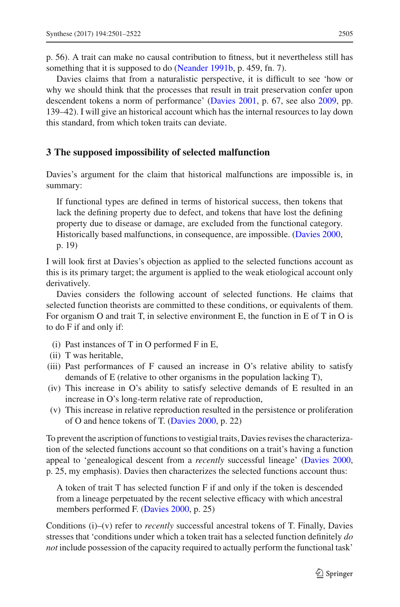p. 56). A trait can make no causal contribution to fitness, but it nevertheless still has something that it is supposed to do [\(Neander 1991b](#page-20-14), p. 459, fn. 7).

Davies claims that from a naturalistic perspective, it is difficult to see 'how or why we should think that the processes that result in trait preservation confer upon descendent tokens a norm of performance' [\(Davies 2001](#page-20-4), p. 67, see also [2009,](#page-20-15) pp. 139–42). I will give an historical account which has the internal resources to lay down this standard, from which token traits can deviate.

## **3 The supposed impossibility of selected malfunction**

Davies's argument for the claim that historical malfunctions are impossible is, in summary:

If functional types are defined in terms of historical success, then tokens that lack the defining property due to defect, and tokens that have lost the defining property due to disease or damage, are excluded from the functional category. Historically based malfunctions, in consequence, are impossible. [\(Davies 2000](#page-19-0), p. 19)

I will look first at Davies's objection as applied to the selected functions account as this is its primary target; the argument is applied to the weak etiological account only derivatively.

Davies considers the following account of selected functions. He claims that selected function theorists are committed to these conditions, or equivalents of them. For organism O and trait T, in selective environment E, the function in E of T in O is to do F if and only if:

- (i) Past instances of T in O performed F in E,
- (ii) T was heritable,
- (iii) Past performances of F caused an increase in O's relative ability to satisfy demands of E (relative to other organisms in the population lacking T),
- (iv) This increase in O's ability to satisfy selective demands of E resulted in an increase in O's long-term relative rate of reproduction,
- (v) This increase in relative reproduction resulted in the persistence or proliferation of O and hence tokens of T. [\(Davies 2000](#page-19-0), p. 22)

To prevent the ascription of functions to vestigial traits, Davies revises the characterization of the selected functions account so that conditions on a trait's having a function appeal to 'genealogical descent from a *recently* successful lineage' [\(Davies 2000,](#page-19-0) p. 25, my emphasis). Davies then characterizes the selected functions account thus:

A token of trait T has selected function F if and only if the token is descended from a lineage perpetuated by the recent selective efficacy with which ancestral members performed F. [\(Davies 2000,](#page-19-0) p. 25)

Conditions (i)–(v) refer to *recently* successful ancestral tokens of T. Finally, Davies stresses that 'conditions under which a token trait has a selected function definitely *do not* include possession of the capacity required to actually perform the functional task'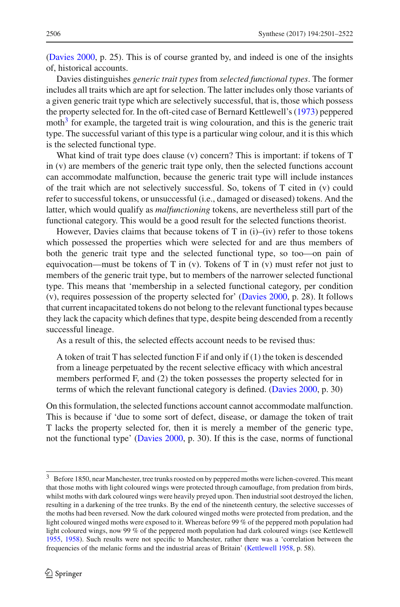[\(Davies 2000](#page-19-0), p. 25). This is of course granted by, and indeed is one of the insights of, historical accounts.

Davies distinguishes *generic trait types* from *selected functional types*. The former includes all traits which are apt for selection. The latter includes only those variants of a given generic trait type which are selectively successful, that is, those which possess the property selected for. In the oft-cited case of Bernard Kettlewell's [\(1973](#page-20-16)) peppered moth $3$  for example, the targeted trait is wing colouration, and this is the generic trait type. The successful variant of this type is a particular wing colour, and it is this which is the selected functional type.

What kind of trait type does clause (v) concern? This is important: if tokens of T in (v) are members of the generic trait type only, then the selected functions account can accommodate malfunction, because the generic trait type will include instances of the trait which are not selectively successful. So, tokens of T cited in (v) could refer to successful tokens, or unsuccessful (i.e., damaged or diseased) tokens. And the latter, which would qualify as *malfunctioning* tokens, are nevertheless still part of the functional category. This would be a good result for the selected functions theorist.

However, Davies claims that because tokens of T in  $(i)$ – $(iv)$  refer to those tokens which possessed the properties which were selected for and are thus members of both the generic trait type and the selected functional type, so too—on pain of equivocation—must be tokens of T in  $(v)$ . Tokens of T in  $(v)$  must refer not just to members of the generic trait type, but to members of the narrower selected functional type. This means that 'membership in a selected functional category, per condition (v), requires possession of the property selected for' [\(Davies 2000,](#page-19-0) p. 28). It follows that current incapacitated tokens do not belong to the relevant functional types because they lack the capacity which defines that type, despite being descended from a recently successful lineage.

As a result of this, the selected effects account needs to be revised thus:

A token of trait T has selected function F if and only if (1) the token is descended from a lineage perpetuated by the recent selective efficacy with which ancestral members performed F, and (2) the token possesses the property selected for in terms of which the relevant functional category is defined. [\(Davies 2000,](#page-19-0) p. 30)

On this formulation, the selected functions account cannot accommodate malfunction. This is because if 'due to some sort of defect, disease, or damage the token of trait T lacks the property selected for, then it is merely a member of the generic type, not the functional type' [\(Davies 2000](#page-19-0), p. 30). If this is the case, norms of functional

<span id="page-5-0"></span><sup>3</sup> Before 1850, near Manchester, tree trunks roosted on by peppered moths were lichen-covered. This meant that those moths with light coloured wings were protected through camouflage, from predation from birds, whilst moths with dark coloured wings were heavily preyed upon. Then industrial soot destroyed the lichen, resulting in a darkening of the tree trunks. By the end of the nineteenth century, the selective successes of the moths had been reversed. Now the dark coloured winged moths were protected from predation, and the light coloured winged moths were exposed to it. Whereas before 99 % of the peppered moth population had light coloured wings, now 99 % of the peppered moth population had dark coloured wings (see Kettlewell [1955,](#page-20-17) [1958](#page-20-18)). Such results were not specific to Manchester, rather there was a 'correlation between the frequencies of the melanic forms and the industrial areas of Britain' [\(Kettlewell 1958](#page-20-18), p. 58).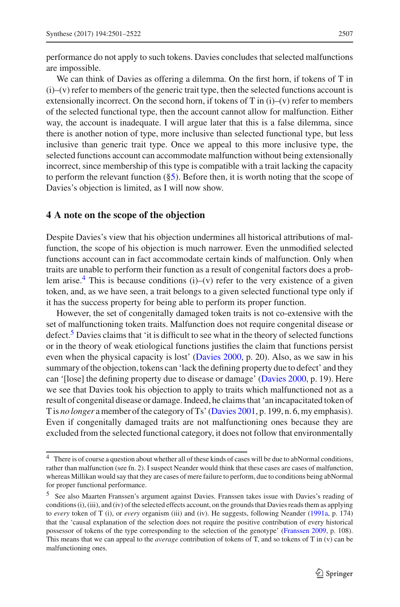performance do not apply to such tokens. Davies concludes that selected malfunctions are impossible.

We can think of Davies as offering a dilemma. On the first horn, if tokens of T in  $(i)$ – $(v)$  refer to members of the generic trait type, then the selected functions account is extensionally incorrect. On the second horn, if tokens of  $T$  in (i)–(v) refer to members of the selected functional type, then the account cannot allow for malfunction. Either way, the account is inadequate. I will argue later that this is a false dilemma, since there is another notion of type, more inclusive than selected functional type, but less inclusive than generic trait type. Once we appeal to this more inclusive type, the selected functions account can accommodate malfunction without being extensionally incorrect, since membership of this type is compatible with a trait lacking the capacity to perform the relevant function  $(\S 5)$ . Before then, it is worth noting that the scope of Davies's objection is limited, as I will now show.

#### <span id="page-6-0"></span>**4 A note on the scope of the objection**

Despite Davies's view that his objection undermines all historical attributions of malfunction, the scope of his objection is much narrower. Even the unmodified selected functions account can in fact accommodate certain kinds of malfunction. Only when traits are unable to perform their function as a result of congenital factors does a problem arise.<sup>4</sup> This is because conditions (i)–(v) refer to the very existence of a given token, and, as we have seen, a trait belongs to a given selected functional type only if it has the success property for being able to perform its proper function.

However, the set of congenitally damaged token traits is not co-extensive with the set of malfunctioning token traits. Malfunction does not require congenital disease or defect.<sup>[5](#page-6-2)</sup> Davies claims that 'it is difficult to see what in the theory of selected functions or in the theory of weak etiological functions justifies the claim that functions persist even when the physical capacity is lost' [\(Davies 2000](#page-19-0), p. 20). Also, as we saw in his summary of the objection, tokens can 'lack the defining property due to defect' and they can '[lose] the defining property due to disease or damage' [\(Davies 2000,](#page-19-0) p. 19). Here we see that Davies took his objection to apply to traits which malfunctioned not as a result of congenital disease or damage. Indeed, he claims that 'an incapacitated token of T is *no longer* a member of the category of Ts' [\(Davies 2001](#page-20-4), p. 199, n. 6, my emphasis). Even if congenitally damaged traits are not malfunctioning ones because they are excluded from the selected functional category, it does not follow that environmentally

<span id="page-6-1"></span><sup>&</sup>lt;sup>4</sup> There is of course a question about whether all of these kinds of cases will be due to abNormal conditions, rather than malfunction (see fn. 2). I suspect Neander would think that these cases are cases of malfunction, whereas Millikan would say that they are cases of mere failure to perform, due to conditions being abNormal for proper functional performance.

<span id="page-6-2"></span><sup>5</sup> See also Maarten Franssen's argument against Davies. Franssen takes issue with Davies's reading of conditions (i), (iii), and (iv) of the selected effects account, on the grounds that Davies reads them as applying to *every* token of T (i), or *every* organism (iii) and (iv). He suggests, following Neander [\(1991a,](#page-20-5) p. 174) that the 'causal explanation of the selection does not require the positive contribution of every historical possessor of tokens of the type corresponding to the selection of the genotype' [\(Franssen 2009,](#page-20-19) p. 108). This means that we can appeal to the *average* contribution of tokens of T, and so tokens of T in (v) can be malfunctioning ones.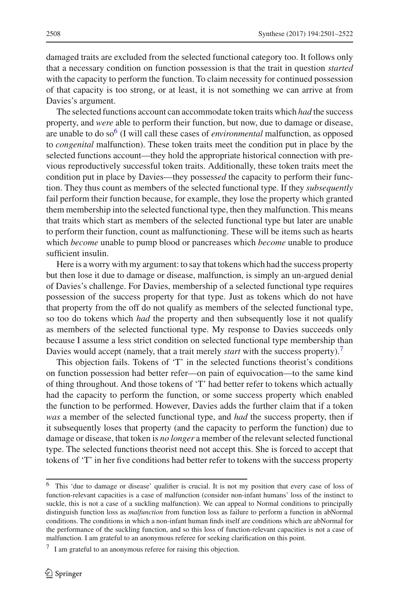damaged traits are excluded from the selected functional category too. It follows only that a necessary condition on function possession is that the trait in question *started* with the capacity to perform the function. To claim necessity for continued possession of that capacity is too strong, or at least, it is not something we can arrive at from Davies's argument.

The selected functions account can accommodate token traits which *had* the success property, and *were* able to perform their function, but now, due to damage or disease, are unable to do so<sup>6</sup> (I will call these cases of *environmental* malfunction, as opposed to *congenital* malfunction). These token traits meet the condition put in place by the selected functions account—they hold the appropriate historical connection with previous reproductively successful token traits. Additionally, these token traits meet the condition put in place by Davies—they possess*ed* the capacity to perform their function. They thus count as members of the selected functional type. If they *subsequently* fail perform their function because, for example, they lose the property which granted them membership into the selected functional type, then they malfunction. This means that traits which start as members of the selected functional type but later are unable to perform their function, count as malfunctioning. These will be items such as hearts which *become* unable to pump blood or pancreases which *become* unable to produce sufficient insulin.

Here is a worry with my argument: to say that tokens which had the success property but then lose it due to damage or disease, malfunction, is simply an un-argued denial of Davies's challenge. For Davies, membership of a selected functional type requires possession of the success property for that type. Just as tokens which do not have that property from the off do not qualify as members of the selected functional type, so too do tokens which *had* the property and then subsequently lose it not qualify as members of the selected functional type. My response to Davies succeeds only because I assume a less strict condition on selected functional type membership than Davies would accept (namely, that a trait merely *start* with the success property).[7](#page-7-1)

This objection fails. Tokens of 'T' in the selected functions theorist's conditions on function possession had better refer—on pain of equivocation—to the same kind of thing throughout. And those tokens of 'T' had better refer to tokens which actually had the capacity to perform the function, or some success property which enabled the function to be performed. However, Davies adds the further claim that if a token *was* a member of the selected functional type, and *had* the success property, then if it subsequently loses that property (and the capacity to perform the function) due to damage or disease, that token is *no longer* a member of the relevant selected functional type. The selected functions theorist need not accept this. She is forced to accept that tokens of 'T' in her five conditions had better refer to tokens with the success property

<span id="page-7-0"></span><sup>6</sup> This 'due to damage or disease' qualifier is crucial. It is not my position that every case of loss of function-relevant capacities is a case of malfunction (consider non-infant humans' loss of the instinct to suckle, this is not a case of a suckling malfunction). We can appeal to Normal conditions to principally distinguish function loss as *malfunction* from function loss as failure to perform a function in abNormal conditions. The conditions in which a non-infant human finds itself are conditions which are abNormal for the performance of the suckling function, and so this loss of function-relevant capacities is not a case of malfunction. I am grateful to an anonymous referee for seeking clarification on this point.

<span id="page-7-1"></span><sup>7</sup> I am grateful to an anonymous referee for raising this objection.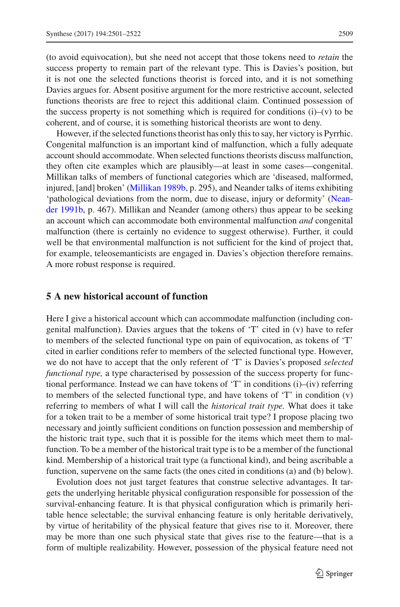(to avoid equivocation), but she need not accept that those tokens need to *retain* the success property to remain part of the relevant type. This is Davies's position, but it is not one the selected functions theorist is forced into, and it is not something Davies argues for. Absent positive argument for the more restrictive account, selected functions theorists are free to reject this additional claim. Continued possession of the success property is not something which is required for conditions  $(i)$ – $(v)$  to be coherent, and of course, it is something historical theorists are wont to deny.

However, if the selected functions theorist has only this to say, her victory is Pyrrhic. Congenital malfunction is an important kind of malfunction, which a fully adequate account should accommodate. When selected functions theorists discuss malfunction, they often cite examples which are plausibly—at least in some cases—congenital. Millikan talks of members of functional categories which are 'diseased, malformed, injured, [and] broken' [\(Millikan 1989b](#page-20-7), p. 295), and Neander talks of items exhibiting 'p[athological](#page-20-14) [deviations](#page-20-14) [from](#page-20-14) [the](#page-20-14) [norm,](#page-20-14) [due](#page-20-14) [to](#page-20-14) [disease,](#page-20-14) [injury](#page-20-14) [or](#page-20-14) [deformity'](#page-20-14) [\(](#page-20-14)Neander [1991b](#page-20-14), p. 467). Millikan and Neander (among others) thus appear to be seeking an account which can accommodate both environmental malfunction *and* congenital malfunction (there is certainly no evidence to suggest otherwise). Further, it could well be that environmental malfunction is not sufficient for the kind of project that, for example, teleosemanticists are engaged in. Davies's objection therefore remains. A more robust response is required.

### <span id="page-8-0"></span>**5 A new historical account of function**

Here I give a historical account which can accommodate malfunction (including congenital malfunction). Davies argues that the tokens of 'T' cited in (v) have to refer to members of the selected functional type on pain of equivocation, as tokens of 'T' cited in earlier conditions refer to members of the selected functional type. However, we do not have to accept that the only referent of 'T' is Davies's proposed *selected functional type,* a type characterised by possession of the success property for functional performance. Instead we can have tokens of 'T' in conditions (i)–(iv) referring to members of the selected functional type, and have tokens of  $T'$  in condition  $(v)$ referring to members of what I will call the *historical trait type.* What does it take for a token trait to be a member of some historical trait type? I propose placing two necessary and jointly sufficient conditions on function possession and membership of the historic trait type, such that it is possible for the items which meet them to malfunction. To be a member of the historical trait type is to be a member of the functional kind. Membership of a historical trait type (a functional kind), and being ascribable a function, supervene on the same facts (the ones cited in conditions (a) and (b) below).

Evolution does not just target features that construe selective advantages. It targets the underlying heritable physical configuration responsible for possession of the survival-enhancing feature. It is that physical configuration which is primarily heritable hence selectable; the survival enhancing feature is only heritable derivatively, by virtue of heritability of the physical feature that gives rise to it. Moreover, there may be more than one such physical state that gives rise to the feature—that is a form of multiple realizability. However, possession of the physical feature need not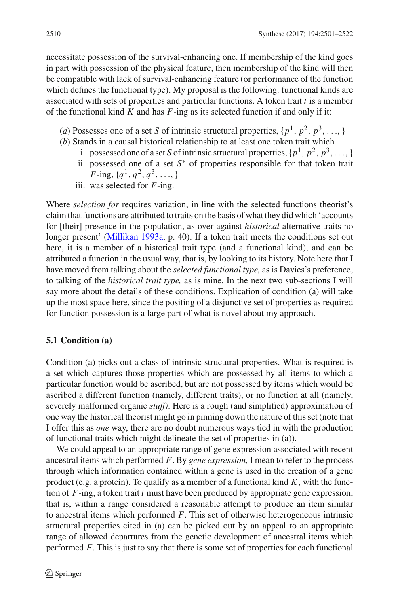necessitate possession of the survival-enhancing one. If membership of the kind goes in part with possession of the physical feature, then membership of the kind will then be compatible with lack of survival-enhancing feature (or performance of the function which defines the functional type). My proposal is the following: functional kinds are associated with sets of properties and particular functions. A token trait *t* is a member of the functional kind *K* and has *F*-ing as its selected function if and only if it:

- (*a*) Possesses one of a set *S* of intrinsic structural properties,  $\{p^1, p^2, p^3, \ldots\}$
- (*b*) Stands in a causal historical relationship to at least one token trait which
	- i. possessed one of a set *S* of intrinsic structural properties,  $\{p^1, p^2, p^3, \ldots\}$
	- ii. possessed one of a set *S*∗ of properties responsible for that token trait *F*-ing,  $\{q^1, q^2, q^3, \ldots\}$
	- iii. was selected for *F*-ing.

Where *selection for* requires variation, in line with the selected functions theorist's claim that functions are attributed to traits on the basis of what they did which 'accounts for [their] presence in the population, as over against *historical* alternative traits no longer present' [\(Millikan 1993a](#page-20-10), p. 40). If a token trait meets the conditions set out here, it is a member of a historical trait type (and a functional kind), and can be attributed a function in the usual way, that is, by looking to its history. Note here that I have moved from talking about the *selected functional type,* as is Davies's preference, to talking of the *historical trait type,* as is mine. In the next two sub-sections I will say more about the details of these conditions. Explication of condition (a) will take up the most space here, since the positing of a disjunctive set of properties as required for function possession is a large part of what is novel about my approach.

#### <span id="page-9-0"></span>**5.1 Condition (a)**

Condition (a) picks out a class of intrinsic structural properties. What is required is a set which captures those properties which are possessed by all items to which a particular function would be ascribed, but are not possessed by items which would be ascribed a different function (namely, different traits), or no function at all (namely, severely malformed organic *stuff)*. Here is a rough (and simplified) approximation of one way the historical theorist might go in pinning down the nature of this set (note that I offer this as *one* way, there are no doubt numerous ways tied in with the production of functional traits which might delineate the set of properties in (a)).

We could appeal to an appropriate range of gene expression associated with recent ancestral items which performed *F*. By *gene expression,* I mean to refer to the process through which information contained within a gene is used in the creation of a gene product (e.g. a protein). To qualify as a member of a functional kind *K,* with the function of *F*-ing, a token trait *t* must have been produced by appropriate gene expression, that is, within a range considered a reasonable attempt to produce an item similar to ancestral items which performed *F*. This set of otherwise heterogeneous intrinsic structural properties cited in (a) can be picked out by an appeal to an appropriate range of allowed departures from the genetic development of ancestral items which performed *F.* This is just to say that there is some set of properties for each functional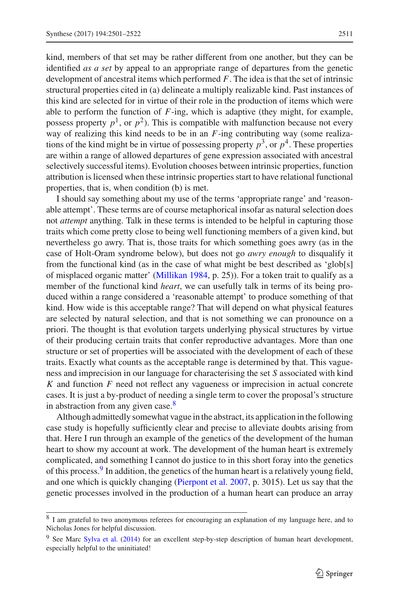kind, members of that set may be rather different from one another, but they can be identified *as a set* by appeal to an appropriate range of departures from the genetic development of ancestral items which performed *F*. The idea is that the set of intrinsic structural properties cited in (a) delineate a multiply realizable kind. Past instances of this kind are selected for in virtue of their role in the production of items which were able to perform the function of *F*-ing, which is adaptive (they might, for example, possess property  $p<sup>1</sup>$ , or  $p<sup>2</sup>$ ). This is compatible with malfunction because not every way of realizing this kind needs to be in an *F*-ing contributing way (some realizations of the kind might be in virtue of possessing property  $p^3$ , or  $p^4$ . These properties are within a range of allowed departures of gene expression associated with ancestral selectively successful items). Evolution chooses between intrinsic properties, function attribution is licensed when these intrinsic properties start to have relational functional properties, that is, when condition (b) is met.

I should say something about my use of the terms 'appropriate range' and 'reasonable attempt'. These terms are of course metaphorical insofar as natural selection does not *attempt* anything. Talk in these terms is intended to be helpful in capturing those traits which come pretty close to being well functioning members of a given kind, but nevertheless go awry. That is, those traits for which something goes awry (as in the case of Holt-Oram syndrome below), but does not go *awry enough* to disqualify it from the functional kind (as in the case of what might be best described as 'glob[s] of misplaced organic matter' [\(Millikan 1984](#page-20-6), p. 25)). For a token trait to qualify as a member of the functional kind *heart*, we can usefully talk in terms of its being produced within a range considered a 'reasonable attempt' to produce something of that kind. How wide is this acceptable range? That will depend on what physical features are selected by natural selection, and that is not something we can pronounce on a priori. The thought is that evolution targets underlying physical structures by virtue of their producing certain traits that confer reproductive advantages. More than one structure or set of properties will be associated with the development of each of these traits. Exactly what counts as the acceptable range is determined by that. This vagueness and imprecision in our language for characterising the set *S* associated with kind *K* and function *F* need not reflect any vagueness or imprecision in actual concrete cases. It is just a by-product of needing a single term to cover the proposal's structure in abstraction from any given case. $8$ 

Although admittedly somewhat vague in the abstract, its application in the following case study is hopefully sufficiently clear and precise to alleviate doubts arising from that. Here I run through an example of the genetics of the development of the human heart to show my account at work. The development of the human heart is extremely complicated, and something I cannot do justice to in this short foray into the genetics of this process.<sup>[9](#page-10-1)</sup> In addition, the genetics of the human heart is a relatively young field, and one which is quickly changing [\(Pierpont et al. 2007,](#page-20-20) p. 3015). Let us say that the genetic processes involved in the production of a human heart can produce an array

<span id="page-10-0"></span><sup>&</sup>lt;sup>8</sup> I am grateful to two anonymous referees for encouraging an explanation of my language here, and to Nicholas Jones for helpful discussion.

<span id="page-10-1"></span><sup>&</sup>lt;sup>9</sup> See Marc [Sylva et al.](#page-21-1) [\(2014](#page-21-1)) for an excellent step-by-step description of human heart development, especially helpful to the uninitiated!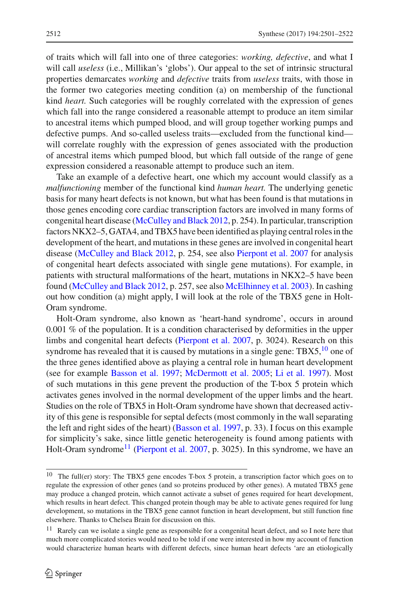of traits which will fall into one of three categories: *working, defective*, and what I will call *useless* (i.e., Millikan's 'globs'). Our appeal to the set of intrinsic structural properties demarcates *working* and *defective* traits from *useless* traits, with those in the former two categories meeting condition (a) on membership of the functional kind *heart.* Such categories will be roughly correlated with the expression of genes which fall into the range considered a reasonable attempt to produce an item similar to ancestral items which pumped blood, and will group together working pumps and defective pumps. And so-called useless traits—excluded from the functional kind will correlate roughly with the expression of genes associated with the production of ancestral items which pumped blood, but which fall outside of the range of gene expression considered a reasonable attempt to produce such an item.

Take an example of a defective heart, one which my account would classify as a *malfunctioning* member of the functional kind *human heart.* The underlying genetic basis for many heart defects is not known, but what has been found is that mutations in those genes encoding core cardiac transcription factors are involved in many forms of congenital heart disease [\(McCulley and Black 2012,](#page-20-21) p. 254). In particular, transcription factors NKX2–5, GATA4, and TBX5 have been identified as playing central roles in the development of the heart, and mutations in these genes are involved in congenital heart disease [\(McCulley and Black 2012,](#page-20-21) p. 254, see also [Pierpont et al. 2007](#page-20-20) for analysis of congenital heart defects associated with single gene mutations). For example, in patients with structural malformations of the heart, mutations in NKX2–5 have been found [\(McCulley and Black 2012](#page-20-21), p. 257, see also [McElhinney et al. 2003\)](#page-20-22). In cashing out how condition (a) might apply, I will look at the role of the TBX5 gene in Holt-Oram syndrome.

Holt-Oram syndrome, also known as 'heart-hand syndrome', occurs in around 0.001 % of the population. It is a condition characterised by deformities in the upper limbs and congenital heart defects [\(Pierpont et al. 2007,](#page-20-20) p. 3024). Research on this syndrome has revealed that it is caused by mutations in a single gene:  $TBX5<sup>10</sup>$  one of the three genes identified above as playing a central role in human heart development (see for example [Basson et al. 1997](#page-19-1); [McDermott et al. 2005;](#page-20-23) [Li et al. 1997](#page-20-24)). Most of such mutations in this gene prevent the production of the T-box 5 protein which activates genes involved in the normal development of the upper limbs and the heart. Studies on the role of TBX5 in Holt-Oram syndrome have shown that decreased activity of this gene is responsible for septal defects (most commonly in the wall separating the left and right sides of the heart) [\(Basson et al. 1997,](#page-19-1) p. 33). I focus on this example for simplicity's sake, since little genetic heterogeneity is found among patients with Holt-Oram syndrome<sup>11</sup> [\(Pierpont et al. 2007](#page-20-20), p. 3025). In this syndrome, we have an

<span id="page-11-0"></span><sup>&</sup>lt;sup>10</sup> The full(er) story: The TBX5 gene encodes T-box 5 protein, a transcription factor which goes on to regulate the expression of other genes (and so proteins produced by other genes). A mutated TBX5 gene may produce a changed protein, which cannot activate a subset of genes required for heart development, which results in heart defect. This changed protein though may be able to activate genes required for lung development, so mutations in the TBX5 gene cannot function in heart development, but still function fine elsewhere. Thanks to Chelsea Brain for discussion on this.

<span id="page-11-1"></span><sup>&</sup>lt;sup>11</sup> Rarely can we isolate a single gene as responsible for a congenital heart defect, and so I note here that much more complicated stories would need to be told if one were interested in how my account of function would characterize human hearts with different defects, since human heart defects 'are an etiologically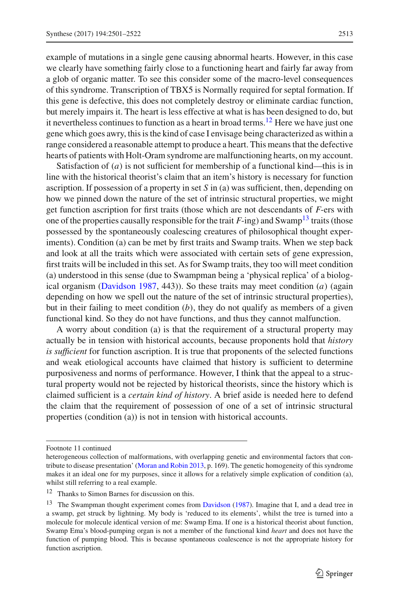example of mutations in a single gene causing abnormal hearts. However, in this case we clearly have something fairly close to a functioning heart and fairly far away from a glob of organic matter. To see this consider some of the macro-level consequences of this syndrome. Transcription of TBX5 is Normally required for septal formation. If this gene is defective, this does not completely destroy or eliminate cardiac function, but merely impairs it. The heart is less effective at what is has been designed to do, but it nevertheless continues to function as a heart in broad terms.<sup>12</sup> Here we have just one gene which goes awry, this is the kind of case I envisage being characterized as within a range considered a reasonable attempt to produce a heart. This means that the defective hearts of patients with Holt-Oram syndrome are malfunctioning hearts, on my account.

Satisfaction of  $(a)$  is not sufficient for membership of a functional kind—this is in line with the historical theorist's claim that an item's history is necessary for function ascription. If possession of a property in set *S* in (a) was sufficient, then, depending on how we pinned down the nature of the set of intrinsic structural properties, we might get function ascription for first traits (those which are not descendants of *F*-ers with one of the properties causally responsible for the trait  $F$ -ing) and Swamp<sup>13</sup> traits (those possessed by the spontaneously coalescing creatures of philosophical thought experiments). Condition (a) can be met by first traits and Swamp traits. When we step back and look at all the traits which were associated with certain sets of gene expression, first traits will be included in this set. As for Swamp traits, they too will meet condition (a) understood in this sense (due to Swampman being a 'physical replica' of a biological organism [\(Davidson 1987](#page-19-2), 443)). So these traits may meet condition (*a)* (again depending on how we spell out the nature of the set of intrinsic structural properties), but in their failing to meet condition  $(b)$ , they do not qualify as members of a given functional kind. So they do not have functions, and thus they cannot malfunction.

A worry about condition (a) is that the requirement of a structural property may actually be in tension with historical accounts, because proponents hold that *history is sufficient* for function ascription. It is true that proponents of the selected functions and weak etiological accounts have claimed that history is sufficient to determine purposiveness and norms of performance. However, I think that the appeal to a structural property would not be rejected by historical theorists, since the history which is claimed sufficient is a *certain kind of history*. A brief aside is needed here to defend the claim that the requirement of possession of one of a set of intrinsic structural properties (condition (a)) is not in tension with historical accounts.

Footnote 11 continued

heterogeneous collection of malformations, with overlapping genetic and environmental factors that contribute to disease presentation' [\(Moran and Robin 2013](#page-20-25), p. 169). The genetic homogeneity of this syndrome makes it an ideal one for my purposes, since it allows for a relatively simple explication of condition (a), whilst still referring to a real example.

<sup>&</sup>lt;sup>12</sup> Thanks to Simon Barnes for discussion on this.

<span id="page-12-1"></span><span id="page-12-0"></span><sup>&</sup>lt;sup>13</sup> The Swampman thought experiment comes from [Davidson](#page-19-2) [\(1987](#page-19-2)). Imagine that I, and a dead tree in a swamp, get struck by lightning. My body is 'reduced to its elements', whilst the tree is turned into a molecule for molecule identical version of me: Swamp Ema. If one is a historical theorist about function, Swamp Ema's blood-pumping organ is not a member of the functional kind *heart* and does not have the function of pumping blood. This is because spontaneous coalescence is not the appropriate history for function ascription.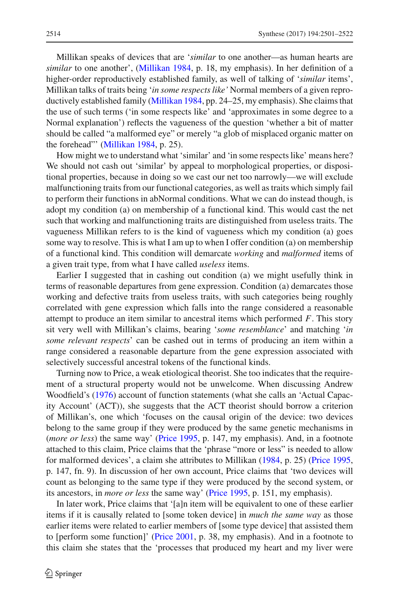Millikan speaks of devices that are '*similar* to one another—as human hearts are *similar* to one another', [\(Millikan 1984,](#page-20-6) p. 18, my emphasis). In her definition of a higher-order reproductively established family, as well of talking of '*similar* items', Millikan talks of traits being '*in some respects like'* Normal members of a given reproductively established family [\(Millikan 1984](#page-20-6), pp. 24–25, my emphasis). She claims that the use of such terms ('in some respects like' and 'approximates in some degree to a Normal explanation') reflects the vagueness of the question 'whether a bit of matter should be called "a malformed eye" or merely "a glob of misplaced organic matter on the forehead"' [\(Millikan 1984,](#page-20-6) p. 25).

How might we to understand what 'similar' and 'in some respects like' means here? We should not cash out 'similar' by appeal to morphological properties, or dispositional properties, because in doing so we cast our net too narrowly—we will exclude malfunctioning traits from our functional categories, as well as traits which simply fail to perform their functions in abNormal conditions. What we can do instead though, is adopt my condition (a) on membership of a functional kind. This would cast the net such that working and malfunctioning traits are distinguished from useless traits. The vagueness Millikan refers to is the kind of vagueness which my condition (a) goes some way to resolve. This is what I am up to when I offer condition (a) on membership of a functional kind. This condition will demarcate *working* and *malformed* items of a given trait type, from what I have called *useless* items.

Earlier I suggested that in cashing out condition (a) we might usefully think in terms of reasonable departures from gene expression. Condition (a) demarcates those working and defective traits from useless traits, with such categories being roughly correlated with gene expression which falls into the range considered a reasonable attempt to produce an item similar to ancestral items which performed *F*. This story sit very well with Millikan's claims, bearing '*some resemblance*' and matching '*in some relevant respects*' can be cashed out in terms of producing an item within a range considered a reasonable departure from the gene expression associated with selectively successful ancestral tokens of the functional kinds.

Turning now to Price, a weak etiological theorist. She too indicates that the requirement of a structural property would not be unwelcome. When discussing Andrew Woodfield's [\(1976](#page-21-2)) account of function statements (what she calls an 'Actual Capacity Account' (ACT)), she suggests that the ACT theorist should borrow a criterion of Millikan's, one which 'focuses on the causal origin of the device: two devices belong to the same group if they were produced by the same genetic mechanisms in (*more or less*) the same way' [\(Price 1995](#page-20-26), p. 147, my emphasis). And, in a footnote attached to this claim, Price claims that the 'phrase "more or less" is needed to allow for malformed devices', a claim she attributes to Millikan [\(1984,](#page-20-6) p. 25) [\(Price 1995,](#page-20-26) p. 147, fn. 9). In discussion of her own account, Price claims that 'two devices will count as belonging to the same type if they were produced by the second system, or its ancestors, in *more or less* the same way' [\(Price 1995](#page-20-26), p. 151, my emphasis).

In later work, Price claims that '[a]n item will be equivalent to one of these earlier items if it is causally related to [some token device] in *much the same way* as those earlier items were related to earlier members of [some type device] that assisted them to [perform some function]' [\(Price 2001](#page-20-9), p. 38, my emphasis). And in a footnote to this claim she states that the 'processes that produced my heart and my liver were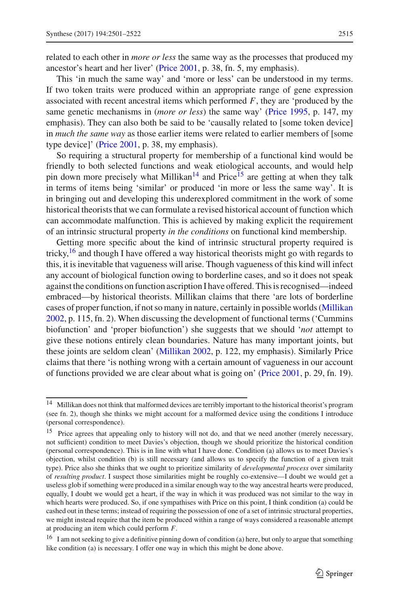related to each other in *more or less* the same way as the processes that produced my ancestor's heart and her liver' [\(Price 2001](#page-20-9), p. 38, fn. 5, my emphasis).

This 'in much the same way' and 'more or less' can be understood in my terms. If two token traits were produced within an appropriate range of gene expression associated with recent ancestral items which performed *F*, they are 'produced by the same genetic mechanisms in (*more or less*) the same way' [\(Price 1995](#page-20-26), p. 147, my emphasis). They can also both be said to be 'causally related to [some token device] in *much the same way* as those earlier items were related to earlier members of [some type device]' [\(Price 2001](#page-20-9), p. 38, my emphasis).

So requiring a structural property for membership of a functional kind would be friendly to both selected functions and weak etiological accounts, and would help pin down more precisely what Millikan<sup>[14](#page-14-0)</sup> and Price<sup>15</sup> are getting at when they talk in terms of items being 'similar' or produced 'in more or less the same way'. It is in bringing out and developing this underexplored commitment in the work of some historical theorists that we can formulate a revised historical account of function which can accommodate malfunction. This is achieved by making explicit the requirement of an intrinsic structural property *in the conditions* on functional kind membership.

Getting more specific about the kind of intrinsic structural property required is tricky,  $\frac{16}{16}$  $\frac{16}{16}$  $\frac{16}{16}$  and though I have offered a way historical theorists might go with regards to this, it is inevitable that vagueness will arise. Though vagueness of this kind will infect any account of biological function owing to borderline cases, and so it does not speak against the conditions on function ascription I have offered. This is recognised—indeed embraced—by historical theorists. Millikan claims that there 'are lots of borderline cases of proper function, if not so many in nature, certainly in possible worlds [\(Millikan](#page-20-27) [2002,](#page-20-27) p. 115, fn. 2). When discussing the development of functional terms ('Cummins biofunction' and 'proper biofunction') she suggests that we should '*not* attempt to give these notions entirely clean boundaries. Nature has many important joints, but these joints are seldom clean' [\(Millikan 2002,](#page-20-27) p. 122, my emphasis). Similarly Price claims that there 'is nothing wrong with a certain amount of vagueness in our account of functions provided we are clear about what is going on' [\(Price 2001,](#page-20-9) p. 29, fn. 19).

<span id="page-14-0"></span><sup>&</sup>lt;sup>14</sup> Millikan does not think that malformed devices are terribly important to the historical theorist's program (see fn. 2), though she thinks we might account for a malformed device using the conditions I introduce (personal correspondence).

<span id="page-14-1"></span><sup>&</sup>lt;sup>15</sup> Price agrees that appealing only to history will not do, and that we need another (merely necessary, not sufficient) condition to meet Davies's objection, though we should prioritize the historical condition (personal correspondence). This is in line with what I have done. Condition (a) allows us to meet Davies's objection, whilst condition (b) is still necessary (and allows us to specify the function of a given trait type). Price also she thinks that we ought to prioritize similarity of *developmental process* over similarity of *resulting product*. I suspect those similarities might be roughly co-extensive—I doubt we would get a useless glob if something were produced in a similar enough way to the way ancestral hearts were produced, equally, I doubt we would get a heart, if the way in which it was produced was not similar to the way in which hearts were produced. So, if one sympathises with Price on this point, I think condition (a) could be cashed out in these terms; instead of requiring the possession of one of a set of intrinsic structural properties, we might instead require that the item be produced within a range of ways considered a reasonable attempt at producing an item which could perform *F.*

<span id="page-14-2"></span><sup>&</sup>lt;sup>16</sup> I am not seeking to give a definitive pinning down of condition (a) here, but only to argue that something like condition (a) is necessary. I offer one way in which this might be done above.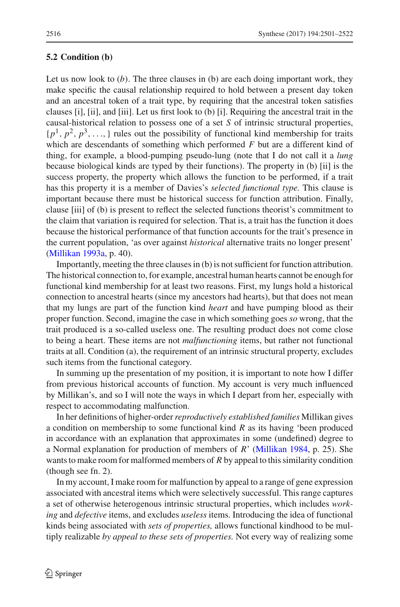#### <span id="page-15-0"></span>**5.2 Condition (b)**

Let us now look to  $(b)$ . The three clauses in  $(b)$  are each doing important work, they make specific the causal relationship required to hold between a present day token and an ancestral token of a trait type, by requiring that the ancestral token satisfies clauses [i], [ii], and [iii]. Let us first look to (b) [i]. Requiring the ancestral trait in the causal-historical relation to possess one of a set *S* of intrinsic structural properties,  $\{p^1, p^2, p^3, \ldots\}$  rules out the possibility of functional kind membership for traits which are descendants of something which performed *F* but are a different kind of thing, for example, a blood-pumping pseudo-lung (note that I do not call it a *lung* because biological kinds are typed by their functions). The property in (b) [ii] is the success property, the property which allows the function to be performed, if a trait has this property it is a member of Davies's *selected functional type.* This clause is important because there must be historical success for function attribution. Finally, clause [iii] of (b) is present to reflect the selected functions theorist's commitment to the claim that variation is required for selection. That is, a trait has the function it does because the historical performance of that function accounts for the trait's presence in the current population, 'as over against *historical* alternative traits no longer present' [\(Millikan 1993a](#page-20-10), p. 40).

Importantly, meeting the three clauses in (b) is not sufficient for function attribution. The historical connection to, for example, ancestral human hearts cannot be enough for functional kind membership for at least two reasons. First, my lungs hold a historical connection to ancestral hearts (since my ancestors had hearts), but that does not mean that my lungs are part of the function kind *heart* and have pumping blood as their proper function. Second, imagine the case in which something goes *so* wrong, that the trait produced is a so-called useless one. The resulting product does not come close to being a heart. These items are not *malfunctioning* items, but rather not functional traits at all. Condition (a), the requirement of an intrinsic structural property, excludes such items from the functional category.

In summing up the presentation of my position, it is important to note how I differ from previous historical accounts of function. My account is very much influenced by Millikan's, and so I will note the ways in which I depart from her, especially with respect to accommodating malfunction.

In her definitions of higher-order*reproductively established families* Millikan gives a condition on membership to some functional kind *R* as its having 'been produced in accordance with an explanation that approximates in some (undefined) degree to a Normal explanation for production of members of *R*' [\(Millikan 1984](#page-20-6), p. 25). She wants to make room for malformed members of *R* by appeal to this similarity condition (though see fn. 2).

In my account, I make room for malfunction by appeal to a range of gene expression associated with ancestral items which were selectively successful. This range captures a set of otherwise heterogenous intrinsic structural properties, which includes *working* and *defective* items, and excludes *useless* items. Introducing the idea of functional kinds being associated with *sets of properties,* allows functional kindhood to be multiply realizable *by appeal to these sets of properties.* Not every way of realizing some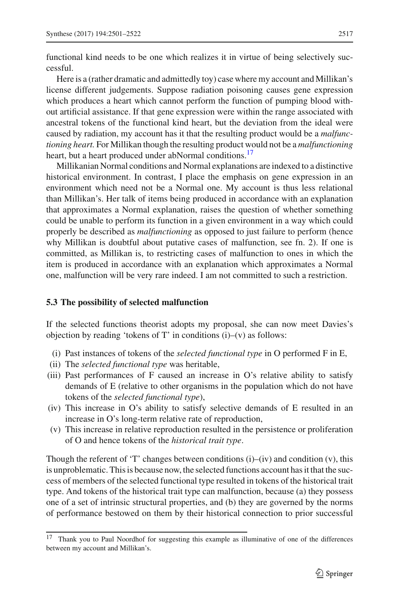functional kind needs to be one which realizes it in virtue of being selectively successful.

Here is a (rather dramatic and admittedly toy) case where my account and Millikan's license different judgements. Suppose radiation poisoning causes gene expression which produces a heart which cannot perform the function of pumping blood without artificial assistance. If that gene expression were within the range associated with ancestral tokens of the functional kind heart, but the deviation from the ideal were caused by radiation, my account has it that the resulting product would be a *malfunctioning heart.* For Millikan though the resulting product would not be a *malfunctioning* heart, but a heart produced under abNormal conditions.<sup>17</sup>

Millikanian Normal conditions and Normal explanations are indexed to a distinctive historical environment. In contrast, I place the emphasis on gene expression in an environment which need not be a Normal one. My account is thus less relational than Millikan's. Her talk of items being produced in accordance with an explanation that approximates a Normal explanation, raises the question of whether something could be unable to perform its function in a given environment in a way which could properly be described as *malfunctioning* as opposed to just failure to perform (hence why Millikan is doubtful about putative cases of malfunction, see fn. 2). If one is committed, as Millikan is, to restricting cases of malfunction to ones in which the item is produced in accordance with an explanation which approximates a Normal one, malfunction will be very rare indeed. I am not committed to such a restriction.

#### **5.3 The possibility of selected malfunction**

If the selected functions theorist adopts my proposal, she can now meet Davies's objection by reading 'tokens of  $T'$  in conditions  $(i)$ – $(v)$  as follows:

- (i) Past instances of tokens of the *selected functional type* in O performed F in E,
- (ii) The *selected functional type* was heritable,
- (iii) Past performances of F caused an increase in O's relative ability to satisfy demands of E (relative to other organisms in the population which do not have tokens of the *selected functional type*),
- (iv) This increase in O's ability to satisfy selective demands of E resulted in an increase in O's long-term relative rate of reproduction,
- (v) This increase in relative reproduction resulted in the persistence or proliferation of O and hence tokens of the *historical trait type*.

Though the referent of 'T' changes between conditions  $(i)$ – $(iv)$  and condition  $(v)$ , this is unproblematic. This is because now, the selected functions account has it that the success of members of the selected functional type resulted in tokens of the historical trait type. And tokens of the historical trait type can malfunction, because (a) they possess one of a set of intrinsic structural properties, and (b) they are governed by the norms of performance bestowed on them by their historical connection to prior successful

<span id="page-16-0"></span><sup>&</sup>lt;sup>17</sup> Thank you to Paul Noordhof for suggesting this example as illuminative of one of the differences between my account and Millikan's.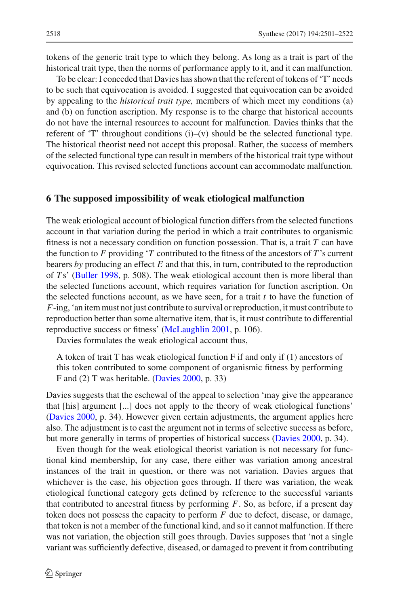tokens of the generic trait type to which they belong. As long as a trait is part of the historical trait type, then the norms of performance apply to it, and it can malfunction.

To be clear: I conceded that Davies has shown that the referent of tokens of 'T' needs to be such that equivocation is avoided. I suggested that equivocation can be avoided by appealing to the *historical trait type,* members of which meet my conditions (a) and (b) on function ascription. My response is to the charge that historical accounts do not have the internal resources to account for malfunction. Davies thinks that the referent of 'T' throughout conditions  $(i)$ – $(v)$  should be the selected functional type. The historical theorist need not accept this proposal. Rather, the success of members of the selected functional type can result in members of the historical trait type without equivocation. This revised selected functions account can accommodate malfunction.

# **6 The supposed impossibility of weak etiological malfunction**

The weak etiological account of biological function differs from the selected functions account in that variation during the period in which a trait contributes to organismic fitness is not a necessary condition on function possession. That is, a trait *T* can have the function to  $F$  providing  $T$  contributed to the fitness of the ancestors of  $T$ 's current bearers *by* producing an effect *E* and that this, in turn, contributed to the reproduction of *T* s' [\(Buller 1998](#page-19-3), p. 508). The weak etiological account then is more liberal than the selected functions account, which requires variation for function ascription. On the selected functions account, as we have seen, for a trait *t* to have the function of *F*-ing, 'an item must not just contribute to survival or reproduction, it must contribute to reproduction better than some alternative item, that is, it must contribute to differential reproductive success or fitness' [\(McLaughlin 2001,](#page-20-8) p. 106).

Davies formulates the weak etiological account thus,

A token of trait T has weak etiological function F if and only if (1) ancestors of this token contributed to some component of organismic fitness by performing F and (2) T was heritable. [\(Davies 2000,](#page-19-0) p. 33)

Davies suggests that the eschewal of the appeal to selection 'may give the appearance that [his] argument [...] does not apply to the theory of weak etiological functions' [\(Davies 2000](#page-19-0), p. 34). However given certain adjustments, the argument applies here also. The adjustment is to cast the argument not in terms of selective success as before, but more generally in terms of properties of historical success [\(Davies 2000](#page-19-0), p. 34).

Even though for the weak etiological theorist variation is not necessary for functional kind membership, for any case, there either was variation among ancestral instances of the trait in question, or there was not variation. Davies argues that whichever is the case, his objection goes through. If there was variation, the weak etiological functional category gets defined by reference to the successful variants that contributed to ancestral fitness by performing *F*. So, as before, if a present day token does not possess the capacity to perform *F* due to defect, disease, or damage, that token is not a member of the functional kind, and so it cannot malfunction. If there was not variation, the objection still goes through. Davies supposes that 'not a single variant was sufficiently defective, diseased, or damaged to prevent it from contributing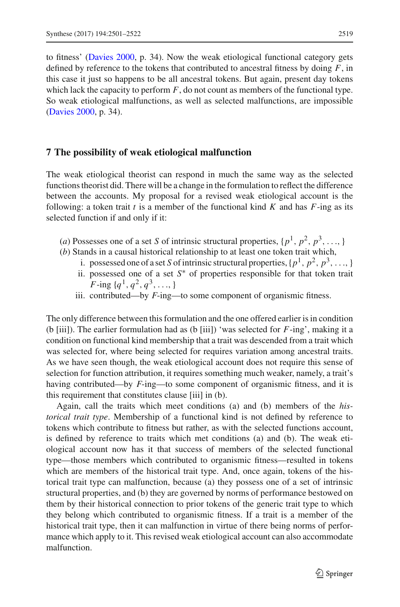to fitness' [\(Davies 2000,](#page-19-0) p. 34). Now the weak etiological functional category gets defined by reference to the tokens that contributed to ancestral fitness by doing *F*, in this case it just so happens to be all ancestral tokens. But again, present day tokens which lack the capacity to perform  $F$ , do not count as members of the functional type. So weak etiological malfunctions, as well as selected malfunctions, are impossible [\(Davies 2000,](#page-19-0) p. 34).

#### **7 The possibility of weak etiological malfunction**

The weak etiological theorist can respond in much the same way as the selected functions theorist did. There will be a change in the formulation to reflect the difference between the accounts. My proposal for a revised weak etiological account is the following: a token trait  $t$  is a member of the functional kind  $K$  and has  $F$ -ing as its selected function if and only if it:

- (*a*) Possesses one of a set *S* of intrinsic structural properties,  $\{p^1, p^2, p^3, \ldots\}$
- (*b*) Stands in a causal historical relationship to at least one token trait which,
	- i. possessed one of a set *S* of intrinsic structural properties,  $\{p^1, p^2, p^3, \ldots\}$
	- ii. possessed one of a set *S*∗ of properties responsible for that token trait *F*-ing  $\{q^1, q^2, q^3, \ldots\}$
	- iii. contributed—by *F*-ing—to some component of organismic fitness.

The only difference between this formulation and the one offered earlier is in condition (b [iii]). The earlier formulation had as (b [iii]) 'was selected for *F*-ing', making it a condition on functional kind membership that a trait was descended from a trait which was selected for, where being selected for requires variation among ancestral traits. As we have seen though, the weak etiological account does not require this sense of selection for function attribution, it requires something much weaker, namely, a trait's having contributed—by *F*-ing—to some component of organismic fitness, and it is this requirement that constitutes clause [iii] in (b).

Again, call the traits which meet conditions (a) and (b) members of the *historical trait type*. Membership of a functional kind is not defined by reference to tokens which contribute to fitness but rather, as with the selected functions account, is defined by reference to traits which met conditions (a) and (b). The weak etiological account now has it that success of members of the selected functional type—those members which contributed to organismic fitness—resulted in tokens which are members of the historical trait type. And, once again, tokens of the historical trait type can malfunction, because (a) they possess one of a set of intrinsic structural properties, and (b) they are governed by norms of performance bestowed on them by their historical connection to prior tokens of the generic trait type to which they belong which contributed to organismic fitness. If a trait is a member of the historical trait type, then it can malfunction in virtue of there being norms of performance which apply to it. This revised weak etiological account can also accommodate malfunction.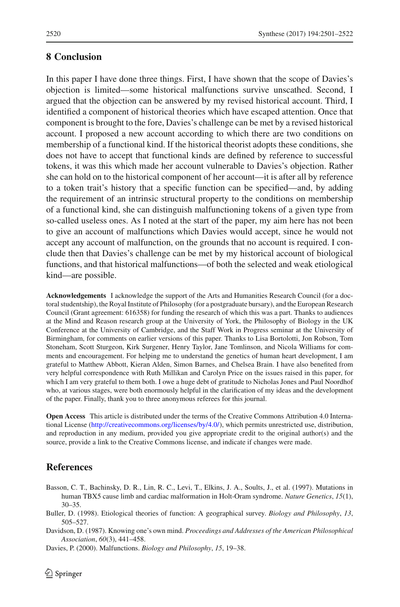# **8 Conclusion**

In this paper I have done three things. First, I have shown that the scope of Davies's objection is limited—some historical malfunctions survive unscathed. Second, I argued that the objection can be answered by my revised historical account. Third, I identified a component of historical theories which have escaped attention. Once that component is brought to the fore, Davies's challenge can be met by a revised historical account. I proposed a new account according to which there are two conditions on membership of a functional kind. If the historical theorist adopts these conditions, she does not have to accept that functional kinds are defined by reference to successful tokens, it was this which made her account vulnerable to Davies's objection. Rather she can hold on to the historical component of her account—it is after all by reference to a token trait's history that a specific function can be specified—and, by adding the requirement of an intrinsic structural property to the conditions on membership of a functional kind, she can distinguish malfunctioning tokens of a given type from so-called useless ones. As I noted at the start of the paper, my aim here has not been to give an account of malfunctions which Davies would accept, since he would not accept any account of malfunction, on the grounds that no account is required. I conclude then that Davies's challenge can be met by my historical account of biological functions, and that historical malfunctions—of both the selected and weak etiological kind—are possible.

**Acknowledgements** I acknowledge the support of the Arts and Humanities Research Council (for a doctoral studentship), the Royal Institute of Philosophy (for a postgraduate bursary), and the European Research Council (Grant agreement: 616358) for funding the research of which this was a part. Thanks to audiences at the Mind and Reason research group at the University of York, the Philosophy of Biology in the UK Conference at the University of Cambridge, and the Staff Work in Progress seminar at the University of Birmingham, for comments on earlier versions of this paper. Thanks to Lisa Bortolotti, Jon Robson, Tom Stoneham, Scott Sturgeon, Kirk Surgener, Henry Taylor, Jane Tomlinson, and Nicola Williams for comments and encouragement. For helping me to understand the genetics of human heart development, I am grateful to Matthew Abbott, Kieran Alden, Simon Barnes, and Chelsea Brain. I have also benefited from very helpful correspondence with Ruth Millikan and Carolyn Price on the issues raised in this paper, for which I am very grateful to them both. I owe a huge debt of gratitude to Nicholas Jones and Paul Noordhof who, at various stages, were both enormously helpful in the clarification of my ideas and the development of the paper. Finally, thank you to three anonymous referees for this journal.

**Open Access** This article is distributed under the terms of the Creative Commons Attribution 4.0 International License [\(http://creativecommons.org/licenses/by/4.0/\)](http://creativecommons.org/licenses/by/4.0/), which permits unrestricted use, distribution, and reproduction in any medium, provided you give appropriate credit to the original author(s) and the source, provide a link to the Creative Commons license, and indicate if changes were made.

# **References**

- <span id="page-19-1"></span>Basson, C. T., Bachinsky, D. R., Lin, R. C., Levi, T., Elkins, J. A., Soults, J., et al. (1997). Mutations in human TBX5 cause limb and cardiac malformation in Holt-Oram syndrome. *Nature Genetics*, *15*(1), 30–35.
- <span id="page-19-3"></span>Buller, D. (1998). Etiological theories of function: A geographical survey. *Biology and Philosophy*, *13*, 505–527.

<span id="page-19-2"></span>Davidson, D. (1987). Knowing one's own mind. *Proceedings and Addresses of the American Philosophical Association*, *60*(3), 441–458.

<span id="page-19-0"></span>Davies, P. (2000). Malfunctions. *Biology and Philosophy*, *15*, 19–38.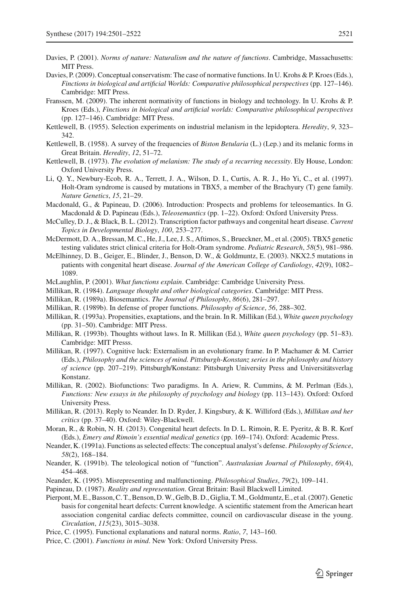- <span id="page-20-4"></span>Davies, P. (2001). *Norms of nature: Naturalism and the nature of functions*. Cambridge, Massachusetts: MIT Press.
- <span id="page-20-15"></span>Davies, P. (2009). Conceptual conservatism: The case of normative functions. In U. Krohs & P. Kroes (Eds.), *Finctions in biological and artificial Worlds: Comparative philosophical perspectives* (pp. 127–146). Cambridge: MIT Press.
- <span id="page-20-19"></span>Franssen, M. (2009). The inherent normativity of functions in biology and technology. In U. Krohs & P. Kroes (Eds.), *Finctions in biological and artificial worlds: Comparative philosophical perspectives* (pp. 127–146). Cambridge: MIT Press.
- <span id="page-20-17"></span>Kettlewell, B. (1955). Selection experiments on industrial melanism in the lepidoptera. *Heredity*, *9*, 323– 342.
- <span id="page-20-18"></span>Kettlewell, B. (1958). A survey of the frequencies of *Biston Betularia* (L.) (Lep.) and its melanic forms in Great Britain. *Heredity*, *12*, 51–72.
- <span id="page-20-16"></span>Kettlewell, B. (1973). *The evolution of melanism: The study of a recurring necessity*. Ely House, London: Oxford University Press.
- <span id="page-20-24"></span>Li, Q. Y., Newbury-Ecob, R. A., Terrett, J. A., Wilson, D. I., Curtis, A. R. J., Ho Yi, C., et al. (1997). Holt-Oram syndrome is caused by mutations in TBX5, a member of the Brachyury (T) gene family. *Nature Genetics*, *15*, 21–29.
- <span id="page-20-3"></span>Macdonald, G., & Papineau, D. (2006). Introduction: Prospects and problems for teleosemantics. In G. Macdonald & D. Papineau (Eds.), *Teleosemantics* (pp. 1–22). Oxford: Oxford University Press.
- <span id="page-20-21"></span>McCulley, D. J., & Black, B. L. (2012). Transcription factor pathways and congenital heart disease. *Current Topics in Developmental Biology*, *100*, 253–277.
- <span id="page-20-23"></span>McDermott, D. A., Bressan, M. C., He, J., Lee, J. S., Aftimos, S., Brueckner, M., et al. (2005). TBX5 genetic testing validates strict clinical criteria for Holt-Oram syndrome. *Pediatric Research*, *58*(5), 981–986.
- <span id="page-20-22"></span>McElhinney, D. B., Geiger, E., Blinder, J., Benson, D. W., & Goldmuntz, E. (2003). NKX2.5 mutations in patients with congenital heart disease. *Journal of the American College of Cardiology*, *42*(9), 1082– 1089.
- <span id="page-20-8"></span>McLaughlin, P. (2001). *What functions explain*. Cambridge: Cambridge University Press.
- <span id="page-20-6"></span>Millikan, R. (1984). *Language thought and other biological categories*. Cambridge: MIT Press.
- <span id="page-20-0"></span>Millikan, R. (1989a). Biosemantics. *The Journal of Philosophy*, *86*(6), 281–297.
- <span id="page-20-7"></span>Millikan, R. (1989b). In defense of proper functions. *Philosophy of Science*, *56*, 288–302.
- <span id="page-20-10"></span>Millikan, R. (1993a). Propensities, exaptations, and the brain. In R. Millikan (Ed.), *White queen psychology* (pp. 31–50). Cambridge: MIT Press.
- <span id="page-20-11"></span>Millikan, R. (1993b). Thoughts without laws. In R. Millikan (Ed.), *White queen psychology* (pp. 51–83). Cambridge: MIT Presss.
- <span id="page-20-12"></span>Millikan, R. (1997). Cognitive luck: Externalism in an evolutionary frame. In P. Machamer & M. Carrier (Eds.), *Philosophy and the sciences of mind. Pittsburgh-Konstanz series in the philosophy and history of science* (pp. 207–219). Pittsburgh/Konstanz: Pittsburgh University Press and Universitätsverlag Konstanz.
- <span id="page-20-27"></span>Millikan, R. (2002). Biofunctions: Two paradigms. In A. Ariew, R. Cummins, & M. Perlman (Eds.), *Functions: New essays in the philosophy of psychology and biology* (pp. 113–143). Oxford: Oxford University Press.
- <span id="page-20-13"></span>Millikan, R. (2013). Reply to Neander. In D. Ryder, J. Kingsbury, & K. Williford (Eds.), *Millikan and her critics* (pp. 37–40). Oxford: Wiley-Blackwell.
- <span id="page-20-25"></span>Moran, R., & Robin, N. H. (2013). Congenital heart defects. In D. L. Rimoin, R. E. Pyeritz, & B. R. Korf (Eds.), *Emery and Rimoin's essential medical genetics* (pp. 169–174). Oxford: Academic Press.
- <span id="page-20-5"></span>Neander, K. (1991a). Functions as selected effects: The conceptual analyst's defense. *Philosophy of Science*, *58*(2), 168–184.
- <span id="page-20-14"></span>Neander, K. (1991b). The teleological notion of "function". *Australasian Journal of Philosophy*, *69*(4), 454–468.
- <span id="page-20-2"></span><span id="page-20-1"></span>Neander, K. (1995). Misrepresenting and malfunctioning. *Philosophical Studies*, *79*(2), 109–141.
- Papineau, D. (1987). *Reality and representation*. Great Britain: Basil Blackwell Limited.
- <span id="page-20-20"></span>Pierpont,M. E., Basson, C. T., Benson, D.W., Gelb, B. D., Giglia, T.M., Goldmuntz, E., et al. (2007). Genetic basis for congenital heart defects: Current knowledge. A scientific statement from the American heart association congenital cardiac defects committee, council on cardiovascular disease in the young. *Circulation*, *115*(23), 3015–3038.
- <span id="page-20-26"></span>Price, C. (1995). Functional explanations and natural norms. *Ratio*, *7*, 143–160.
- <span id="page-20-9"></span>Price, C. (2001). *Functions in mind*. New York: Oxford University Press.